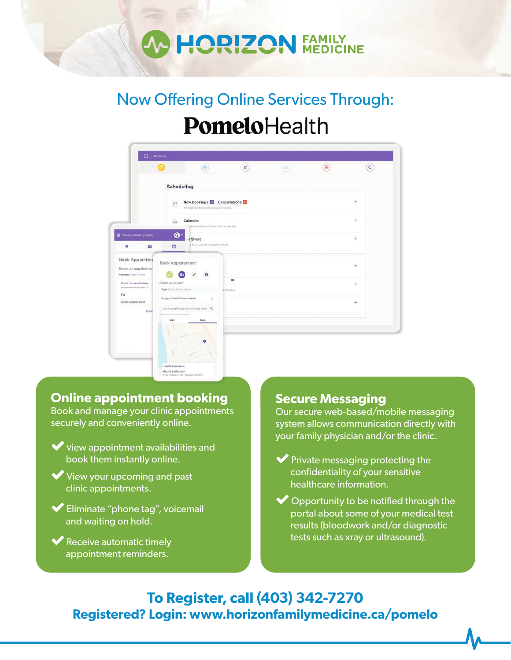### **FAMILY<br>MEDICINE JORIZON**

# Now Offering Online Services Through: PomeloHealth

|                                                                        | ۰                                                                                |                                                                               | $(8)$      | 연 | $(\equiv)$ | $^{(\alpha)}$ |
|------------------------------------------------------------------------|----------------------------------------------------------------------------------|-------------------------------------------------------------------------------|------------|---|------------|---------------|
|                                                                        | Scheduling                                                                       |                                                                               |            |   |            |               |
|                                                                        | 巴                                                                                | New Bookings <b>B</b> Cancellations<br>Manage new bookings and cancellations. |            |   |            | $^{+}$        |
|                                                                        | Calendar<br>$\Rightarrow$                                                        | tage appointments (firectly on wilaberdar                                     |            |   |            | ÷             |
| Provincial Multi Location<br>٠<br>R                                    | ❻<br>y Sheet<br>$\Box$                                                           | ca list of accoming appointments                                              |            |   |            | ÷             |
| <b>Book Appointme</b><br>Select an appointmen<br>Patient: David Taylor | <b>Book Appointment</b><br>Ð                                                     | ø                                                                             |            |   |            | ÷             |
| Covid-19 vaccination<br>Appointments required: 2                       | Select a provider<br>Type: Covich 19 exceptables                                 | g schedule                                                                    | <b>C-3</b> |   |            | ÷             |
| Flu<br>Video consultation<br>Cand                                      | fet appt: Covid-19 vaccination<br>Start typing Facility, City or Street Name   Q | $\lambda$                                                                     |            |   |            | ÷             |
|                                                                        | Benefit Ford A possible insurance<br>Man<br>List                                 |                                                                               |            |   |            |               |

### **Online appointment booking**

.<br>Health Saska

Book and manage your clinic appointments securely and conveniently online.

- $\blacktriangleright$  View appointment availabilities and book them instantly online.
- View your upcoming and past clinic appointments.
- Eliminate "phone tag", voicemail and waiting on hold.

Receive automatic timely appointment reminders.

#### **Secure Messaging**

Our secure web-based/mobile messaging system allows communication directly with your family physician and/or the clinic.

- $\blacktriangleright$  Private messaging protecting the confidentiality of your sensitive healthcare information.
- $\bullet$  Opportunity to be notified through the portal about some of your medical test results (bloodwork and/or diagnostic tests such as xray or ultrasound).

**To Register, call (403) 342-7270 Registered? Login: www.horizonfamilymedicine.ca/pomelo**